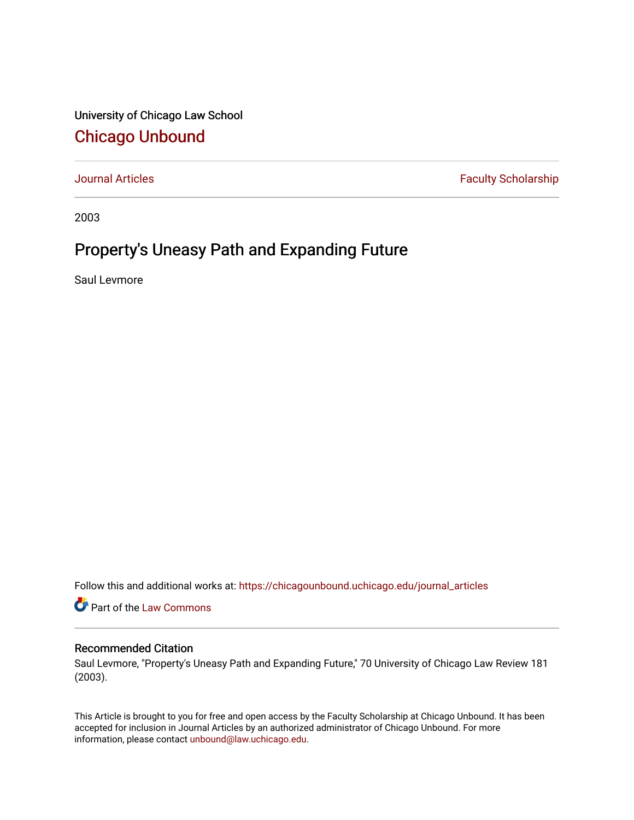University of Chicago Law School [Chicago Unbound](https://chicagounbound.uchicago.edu/)

[Journal Articles](https://chicagounbound.uchicago.edu/journal_articles) **Faculty Scholarship Faculty Scholarship** 

2003

# Property's Uneasy Path and Expanding Future

Saul Levmore

Follow this and additional works at: [https://chicagounbound.uchicago.edu/journal\\_articles](https://chicagounbound.uchicago.edu/journal_articles?utm_source=chicagounbound.uchicago.edu%2Fjournal_articles%2F1619&utm_medium=PDF&utm_campaign=PDFCoverPages) 

Part of the [Law Commons](http://network.bepress.com/hgg/discipline/578?utm_source=chicagounbound.uchicago.edu%2Fjournal_articles%2F1619&utm_medium=PDF&utm_campaign=PDFCoverPages)

## Recommended Citation

Saul Levmore, "Property's Uneasy Path and Expanding Future," 70 University of Chicago Law Review 181 (2003).

This Article is brought to you for free and open access by the Faculty Scholarship at Chicago Unbound. It has been accepted for inclusion in Journal Articles by an authorized administrator of Chicago Unbound. For more information, please contact [unbound@law.uchicago.edu](mailto:unbound@law.uchicago.edu).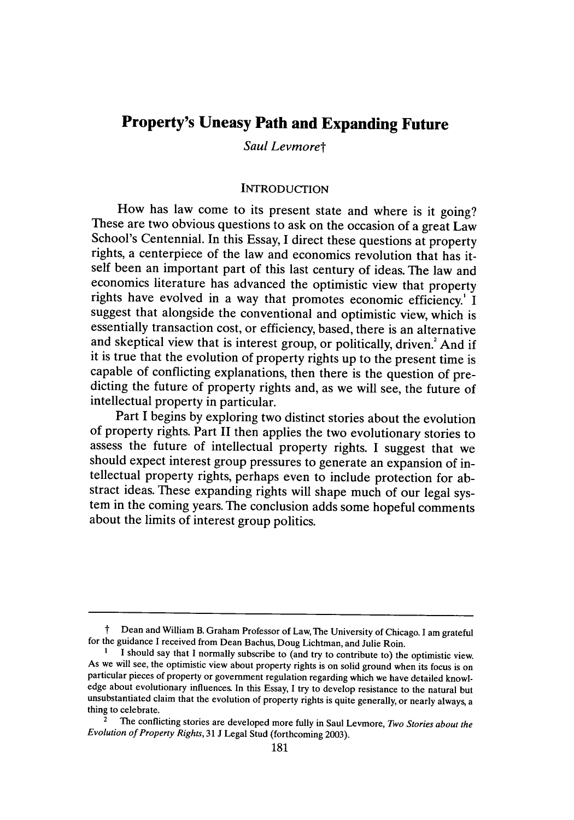## **Property's Uneasy Path and Expanding Future**

## *Saul Levmoret*

#### **INTRODUCTION**

How has law come to its present state and where is it going?<br>These are two obvious questions to ask on the occasion of a great Law<br>School's Centennial. In this Essay, I direct these questions at property rights, a centerpiece of the law and economics revolution that has itself been an important part of this last century of ideas. The law and economics literature has advanced the optimistic view that property rights have evolved in a way that promotes economic efficiency.<sup>'</sup> I suggest that alongside the conventional and optimistic view, which is essentially transaction cost, or efficiency, based, there is an alternative and skeptical view that is interest group, or politically, driven.<sup>2</sup> And if it is true that the evolution of property rights up to the present time is capable of conflicting explanations, then there is the question of pre- dicting the future of property rights and, as we will see, the future of intellectual property in particular.

Part I begins by exploring two distinct stories about the evolution of property rights. Part II then applies the two evolutionary stories to assess the future of intellectual property rights. I suggest that we should expect interest group pressures to generate an expansion of intellectual property rights, perhaps even to include protection for abstract ideas. These expanding rights will shape much of our legal system in the coming years. The conclusion adds some hopeful comments about the limits of interest group politics.

<sup>t</sup>Dean and William B. Graham Professor of Law, The University of Chicago. I am grateful for the guidance I received from Dean Bachus, Doug Lichtman, and Julie Roin.

**I** I should say that I normally subscribe to (and try to contribute to) the optimistic view. As we will see, the optimistic view about property rights is on solid ground when its focus is on particular pieces of property or government regulation regarding which we have detailed knowledge about evolutionary influences. In this Essay, I try to develop resistance to the natural but unsubstantiated claim that the evolution of property rights is quite generally, or nearly always, a thing to celebrate.

<sup>2</sup>The conflicting stories are developed more fully in Saul Levmore, *Two Stories about the Evolution of Property Rights,* 31 J Legal Stud (forthcoming 2003).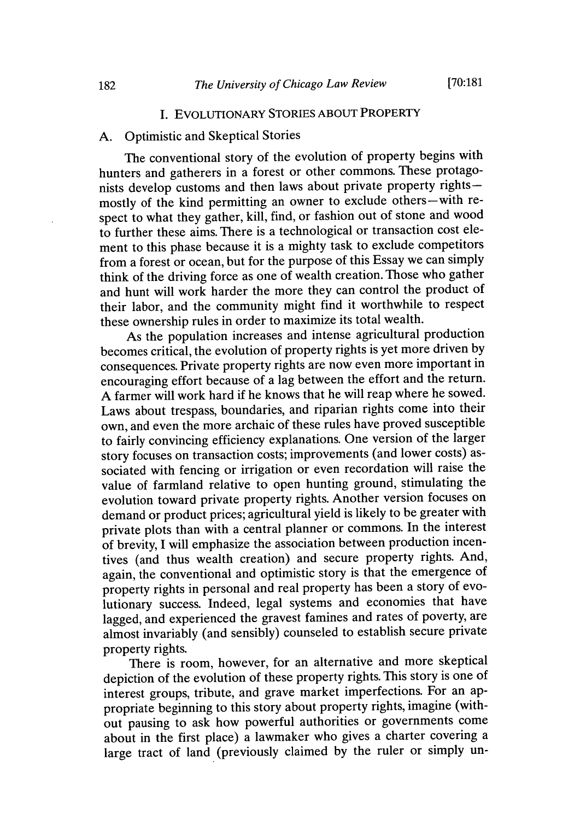## I. EVOLUTIONARY STORIES ABOUT PROPERTY

## **A.** Optimistic and Skeptical Stories

The conventional story of the evolution of property begins with hunters and gatherers in a forest or other commons. These protagonists develop customs and then laws about private property rightsmostly of the kind permitting an owner to exclude others-with respect to what they gather, kill, find, or fashion out of stone and wood to further these aims. There is a technological or transaction cost element to this phase because it is a mighty task to exclude competitors from a forest or ocean, but for the purpose of this Essay we can simply think of the driving force as one of wealth creation. Those who gather and hunt will work harder the more they can control the product of their labor, and the community might find it worthwhile to respect these ownership rules in order to maximize its total wealth.

As the population increases and intense agricultural production becomes critical, the evolution of property rights is yet more driven by consequences. Private property rights are now even more important in encouraging effort because of a lag between the effort and the return. A farmer will work hard if he knows that he will reap where he sowed. Laws about trespass, boundaries, and riparian rights come into their own, and even the more archaic of these rules have proved susceptible to fairly convincing efficiency explanations. One version of the larger story focuses on transaction costs; improvements (and lower costs) associated with fencing or irrigation or even recordation will raise the value of farmland relative to open hunting ground, stimulating the evolution toward private property rights. Another version focuses on demand or product prices; agricultural yield is likely to be greater with private plots than with a central planner or commons. In the interest of brevity, I will emphasize the association between production incentives (and thus wealth creation) and secure property rights. And, again, the conventional and optimistic story is that the emergence of property rights in personal and real property has been a story of evolutionary success. Indeed, legal systems and economies that have lagged, and experienced the gravest famines and rates of poverty, are almost invariably (and sensibly) counseled to establish secure private property rights.

There is room, however, for an alternative and more skeptical depiction of the evolution of these property rights. This story is one of interest groups, tribute, and grave market imperfections. For an appropriate beginning to this story about property rights, imagine (without pausing to ask how powerful authorities or governments come about in the first place) a lawmaker who gives a charter covering a large tract of land (previously claimed by the ruler or simply un-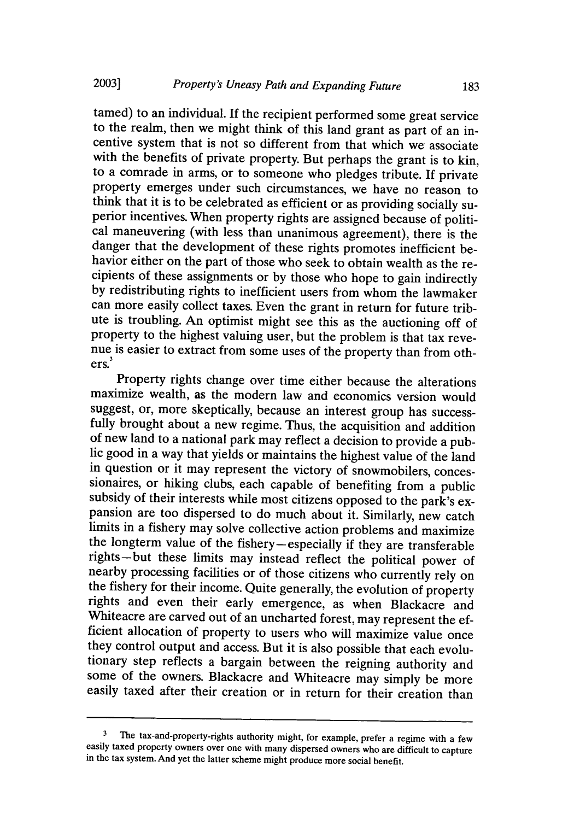tamed) to an individual. If the recipient performed some great service to the realm, then we might think of this land grant as part of an incentive system that is not so different from that which we associate with the benefits of private property. But perhaps the grant is to kin, to a comrade in arms, or to someone who pledges tribute. If private property emerges under such circumstances, we have no reason to think that it is to be celebrated as efficient or as providing socially superior incentives. When property rights are assigned because of political maneuvering (with less than unanimous agreement), there is the danger that the development of these rights promotes inefficient behavior either on the part of those who seek to obtain wealth as the recipients of these assignments or by those who hope to gain indirectly by redistributing rights to inefficient users from whom the lawmaker can more easily collect taxes. Even the grant in return for future tribute is troubling. An optimist might see this as the auctioning off of property to the highest valuing user, but the problem is that tax revenue is easier to extract from some uses of the property than from others.

Property rights change over time either because the alterations maximize wealth, as the modern law and economics version would suggest, or, more skeptically, because an interest group has successfully brought about a new regime. Thus, the acquisition and addition of new land to a national park may reflect a decision to provide a pub- lic good in a way that yields or maintains the highest value of the land in question or it may represent the victory of snowmobilers, concessionaires, or hiking clubs, each capable of benefiting from a public subsidy of their interests while most citizens opposed to the park's expansion are too dispersed to do much about it. Similarly, new catch limits in a fishery may solve collective action problems and maximize the longterm value of the fishery- especially if they are transferable rights-but these limits may instead reflect the political power of nearby processing facilities or of those citizens who currently rely on the fishery for their income. Quite generally, the evolution of property rights and even their early emergence, as when Blackacre and Whiteacre are carved out of an uncharted forest, may represent the efficient allocation of property to users who will maximize value once they control output and access. But it is also possible that each evolutionary step reflects a bargain between the reigning authority and some of the owners. Blackacre and Whiteacre may simply be more easily taxed after their creation or in return for their creation than

<sup>&</sup>lt;sup>3</sup> The tax-and-property-rights authority might, for example, prefer a regime with a few easily taxed property owners over one with many dispersed owners who are difficult to capture in the tax system. And yet the latter scheme might produce more social benefit.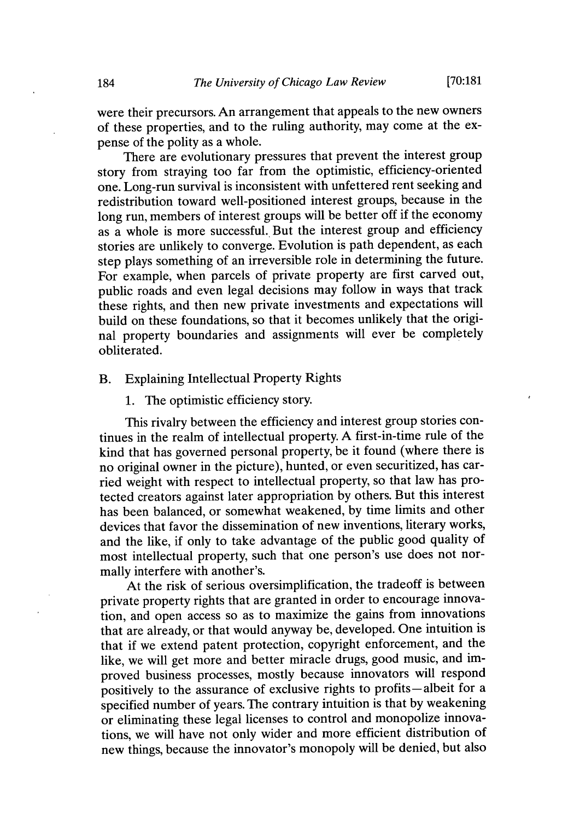were their precursors. An arrangement that appeals to the new owners of these properties, and to the ruling authority, may come at the expense of the polity as a whole.

There are evolutionary pressures that prevent the interest group story from straying too far from the optimistic, efficiency-oriented one. Long-run survival is inconsistent with unfettered rent seeking and redistribution toward well-positioned interest groups, because in the long run, members of interest groups will be better off if the economy as a whole is more successful. But the interest group and efficiency stories are unlikely to converge. Evolution is path dependent, as each step plays something of an irreversible role in determining the future. For example, when parcels of private property are first carved out, public roads and even legal decisions may follow in ways that track these rights, and then new private investments and expectations will build on these foundations, so that it becomes unlikely that the original property boundaries and assignments will ever be completely obliterated.

## B. Explaining Intellectual Property Rights

1. The optimistic efficiency story.

This rivalry between the efficiency and interest group stories continues in the realm of intellectual property. A first-in-time rule of the kind that has governed personal property, be it found (where there is no original owner in the picture), hunted, or even securitized, has carried weight with respect to intellectual property, so that law has protected creators against later appropriation by others. But this interest has been balanced, or somewhat weakened, by time limits and other devices that favor the dissemination of new inventions, literary works, and the like, if only to take advantage of the public good quality of most intellectual property, such that one person's use does not normally interfere with another's.

At the risk of serious oversimplification, the tradeoff is between private property rights that are granted in order to encourage innovation, and open access so as to maximize the gains from innovations that are already, or that would anyway be, developed. One intuition is that if we extend patent protection, copyright enforcement, and the like, we will get more and better miracle drugs, good music, and improved business processes, mostly because innovators will respond positively to the assurance of exclusive rights to profits-albeit for a specified number of years. The contrary intuition is that by weakening or eliminating these legal licenses to control and monopolize innovations, we will have not only wider and more efficient distribution of new things, because the innovator's monopoly will be denied, but also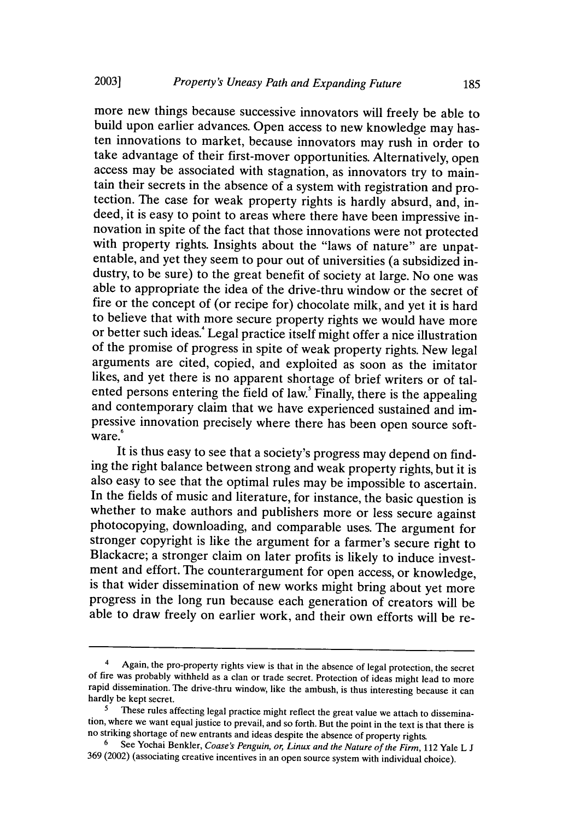more new things because successive innovators will freely be able to build upon earlier advances. Open access to new knowledge may hasten innovations to market, because innovators may rush in order to take advantage of their first-mover opportunities. Alternatively, open access may be associated with stagnation, as innovators try to main-<br>tain their secrets in the absence of a system with registration and protection. The case for weak property rights is hardly absurd, and, indeed, it is easy to point to areas where there have been impressive in-<br>novation in spite of the fact that those innovations were not protected with property rights. Insights about the "laws of nature" are unpat-<br>entable, and yet they seem to pour out of universities (a subsidized industry, to be sure) to the great benefit of society at large. No one was able to appropriate the idea of the drive-thru window or the secret of fire or the concept of (or recipe for) chocolate milk, and yet it is hard to believe that with more secure property rights we would have more or better such ideas.' Legal practice itself might offer a nice illustration of the promise of progress in spite of weak property rights. New legal arguments are cited, copied, and exploited as soon as the imitator likes, and yet there is no apparent shortage of brief writers or of talented persons entering the field of law. Finally, there is the appealing and contemporary claim that we have experienced sustained and impressive innovation precisely where there has been open source software.

It is thus easy to see that a society's progress may depend on finding the right balance between strong and weak property rights, but it is also easy to see that the optimal rules may be impossible to ascertain. In the fields of music and literature, for instance, the basic question is whether to make authors and publishers more or less secure against photocopying, downloading, and comparable uses. The argument for stronger copyright is like the argument for a farmer's secure right to Blackacre; a stronger claim on later profits is likely to induce investment and effort. The counterargument for open access, or knowledge, is that wider dissemination of new works might bring about yet more progress in the long run because each generation of creators will be able to draw freely on earlier work, and their own efforts will be re-

<sup>4</sup>Again, the pro-property rights view is that in the absence of legal protection, the secret of fire was probably withheld as a clan or trade secret. Protection of ideas might lead to more rapid dissemination. The drive-thru window, like the ambush, is thus interesting because it can hardly be kept secret.

**<sup>5</sup>** These rules affecting legal practice might reflect the great value we attach to dissemination, where we want equal justice to prevail, and so forth. But the point in the text is that there is no striking shortage of new entrants and ideas despite the absence of property rights.

**<sup>6</sup>**See Yochai Benkler, *Coase's Penguin, or, Linux and the Nature of the Firm,* 112 Yale L J 369 (2002) (associating creative incentives in an open source system with individual choice).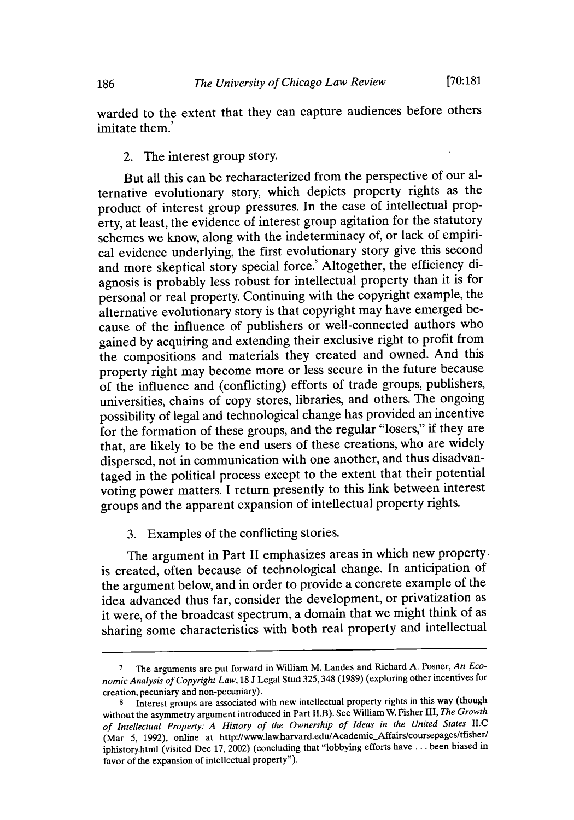warded to the extent that they can capture audiences before others imitate them.<sup>7</sup>

2. The interest group story.

But all this can be recharacterized from the perspective of our alternative evolutionary story, which depicts property rights as the product of interest group pressures. In the case of intellectual property, at least, the evidence of interest group agitation for the statutory schemes we know, along with the indeterminacy of, or lack of empirical evidence underlying, the first evolutionary story give this second and more skeptical story special force.<sup>8</sup> Altogether, the efficiency diagnosis is probably less robust for intellectual property than it is for personal or real property. Continuing with the copyright example, the alternative evolutionary story is that copyright may have emerged because of the influence of publishers or well-connected authors who gained by acquiring and extending their exclusive right to profit from the compositions and materials they created and owned. And this property right may become more or less secure in the future because of the influence and (conflicting) efforts of trade groups, publishers, universities, chains of copy stores, libraries, and others. The ongoing possibility of legal and technological change has provided an incentive for the formation of these groups, and the regular "losers," if they are that, are likely to be the end users of these creations, who are widely dispersed, not in communication with one another, and thus disadvantaged in the political process except to the extent that their potential voting power matters. I return presently to this link between interest groups and the apparent expansion of intellectual property rights.

3. Examples of the conflicting stories.

The argument in Part II emphasizes areas in which new property is created, often because of technological change. In anticipation of the argument below, and in order to provide a concrete example of the idea advanced thus far, consider the development, or privatization as it were, of the broadcast spectrum, a domain that we might think of as sharing some characteristics with both real property and intellectual

<sup>7</sup> The arguments are put forward in William M. Landes and Richard A. Posner, *An Economic Analysis of Copyright Law,* 18 J Legal Stud 325,348 (1989) (exploring other incentives for creation, pecuniary and non-pecuniary).

**<sup>8</sup>**Interest groups are associated with new intellectual property rights in this way (though without the asymmetry argument introduced in Part II.B). See William W. Fisher III, *The Growth of Intellectual Property: A History of the Ownership of Ideas in the United States* II.C (Mar 5, 1992), online at http://www.law.harvard.edu/Academic\_Affairs/coursepages/tfisher/ iphistory.html (visited Dec 17, 2002) (concluding that "lobbying efforts have **...** been biased in favor of the expansion of intellectual property").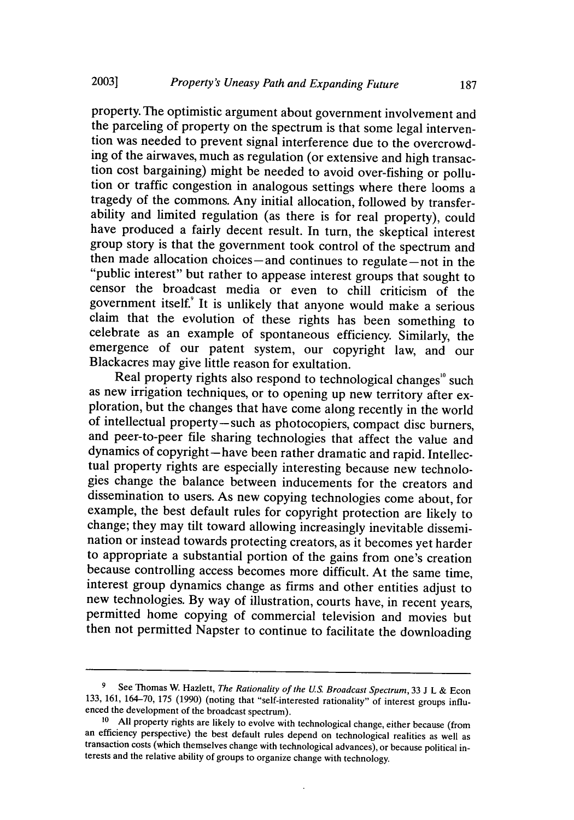**2003]**

property. The optimistic argument about government involvement and the parceling of property on the spectrum is that some legal intervention was needed to prevent signal interference due to the overcrowding of the airwaves, much as regulation (or extensive and high transaction cost bargaining) might be needed to avoid over-fishing or pollution or traffic congestion in analogous settings where there looms a tragedy of the commons. Any initial allocation, followed by transferability and limited regulation (as there is for real property), could have produced a fairly decent result. In turn, the skeptical interest group story is that the government took control of the spectrum and<br>then made allocation choices—and continues to regulate—not in the "public interest" but rather to appease interest groups that sought to censor the broadcast media or even to chill criticism of the government itself.<sup>9</sup> It is unlikely that anyone would make a serious claim that the evolution of these rights has been something to celebrate as an example of spontaneous efficiency. Similarly, the emergence of our patent system, our copyright law, and our Blackacres may give little reason for exultation.

Real property rights also respond to technological changes<sup>10</sup> such as new irrigation techniques, or to opening up new territory after exploration, but the changes that have come along recently in the world of intellectual property—such as photocopiers, compact disc burners, and peer-to-peer file sharing technologies that affect the value and dynamics of copyright-have been rather dramatic and rapid. Intellectual property rights are especially interesting because new technologies change the balance between inducements for the creators and dissemination to users. As new copying technologies come about, for example, the best default rules for copyright protection are likely to change; they may tilt toward allowing increasingly inevitable dissemination or instead towards protecting creators, as it becomes yet harder to appropriate a substantial portion of the gains from one's creation<br>because controlling access becomes more difficult. At the same time, interest group dynamics change as firms and other entities adjust to new technologies. By way of illustration, courts have, in recent years, permitted home copying of commercial television and movies but then not permitted Napster to continue to facilitate the downloading

**<sup>9</sup>**See Thomas W. Hazlett, *The Rationality of the US. Broadcast Spectrum,* 33 J L & Econ 133, 161, 164-70, 175 (1990) (noting that "self-interested rationality" of interest groups influenced the development of the broadcast spectrum).

 $^{10}$  All property rights are likely to evolve with technological change, either because (from an efficiency perspective) the best default rules depend on technological realities as well as transaction costs (which thems terests and the relative ability of groups to organize change with technology.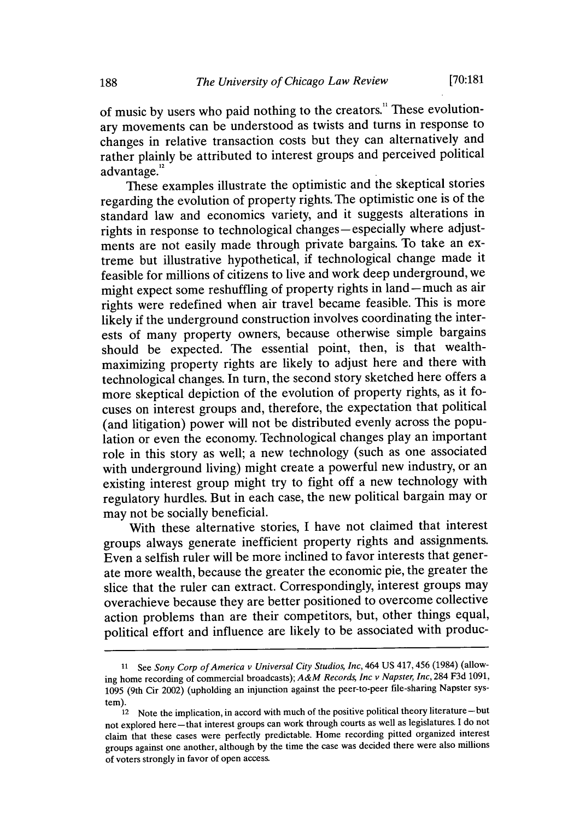of music by users who paid nothing to the creators." These evolutionary movements can be understood as twists and turns in response to changes in relative transaction costs but they can alternatively and rather plainly be attributed to interest groups and perceived political advantage.<sup>12</sup>

These examples illustrate the optimistic and the skeptical stories regarding the evolution of property rights. The optimistic one is of the standard law and economics variety, and it suggests alterations in rights in response to technological changes-especially where adjustments are not easily made through private bargains. To take an extreme but illustrative hypothetical, if technological change made it feasible for millions of citizens to live and work deep underground, we might expect some reshuffling of property rights in land - much as air rights were redefined when air travel became feasible. This is more likely if the underground construction involves coordinating the interests of many property owners, because otherwise simple bargains should be expected. The essential point, then, is that wealthmaximizing property rights are likely to adjust here and there with technological changes. In turn, the second story sketched here offers a more skeptical depiction of the evolution of property rights, as it focuses on interest groups and, therefore, the expectation that political (and litigation) power will not be distributed evenly across the population or even the economy. Technological changes play an important role in this story as well; a new technology (such as one associated with underground living) might create a powerful new industry, or an existing interest group might try to fight off a new technology with regulatory hurdles. But in each case, the new political bargain may or may not be socially beneficial.

With these alternative stories, I have not claimed that interest groups always generate inefficient property rights and assignments. Even a selfish ruler will be more inclined to favor interests that generate more wealth, because the greater the economic pie, the greater the slice that the ruler can extract. Correspondingly, interest groups may overachieve because they are better positioned to overcome collective action problems than are their competitors, but, other things equal, political effort and influence are likely to be associated with produc-

**<sup>11</sup>** See *Sony Corp of America v Universal City Studios, Inc,* 464 US 417,456 (1984) (allowing home recording of commercial broadcasts); *A&M Records, Inc v Napster, nc,* 284 F3d 1091, 1095 (9th Cir 2002) (upholding an injunction against the peer-to-peer file-sharing Napster system).

<sup>12</sup> Note the implication, in accord with much of the positive political theory literature - but not explored here-that interest groups can work through courts as well as legislatures. I do not claim that these cases were perfectly predictable. Home recording pitted organized interest groups against one another, although by the time the case was decided there were also millions of voters strongly in favor of open access.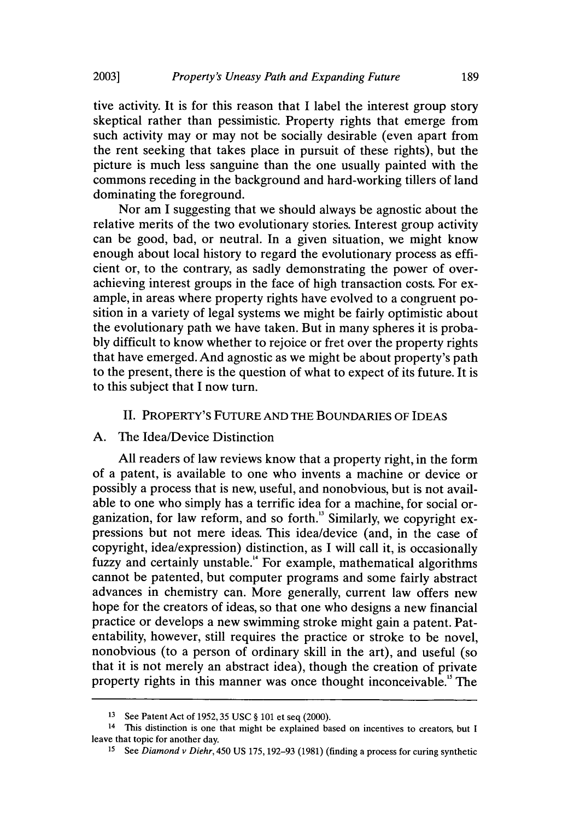tive activity. It is for this reason that I label the interest group story skeptical rather than pessimistic. Property rights that emerge from such activity may or may not be socially desirable (even apart from the rent seeking that takes place in pursuit of these rights), but the picture is much less sanguine than the one usually painted with the commons receding in the background and hard-working tillers of land dominating the foreground.

Nor am I suggesting that we should always be agnostic about the relative merits of the two evolutionary stories. Interest group activity can be good, bad, or neutral. In a given situation, we might know enough about local history to regard the evolutionary process as efficient or, to the contrary, as sadly demonstrating the power of overachieving interest groups in the face of high transaction costs. For example, in areas where property rights have evolved to a congruent position in a variety of legal systems we might be fairly optimistic about the evolutionary path we have taken. But in many spheres it is probably difficult to know whether to rejoice or fret over the property rights that have emerged. And agnostic as we might be about property's path to the present, there is the question of what to expect of its future. It is to this subject that I now turn.

## II. PROPERTY'S FUTURE AND THE BOUNDARIES OF IDEAS

## A. The Idea/Device Distinction

All readers of law reviews know that a property right, in the form of a patent, is available to one who invents a machine or device or possibly a process that is new, useful, and nonobvious, but is not available to one who simply has a terrific idea for a machine, for social or ganization, for law reform, and so forth.<sup>13</sup> Similarly, we copyright expressions but not mere ideas. This idea/device (and, in the case of copyright, idea/expression) distinction, as I will call it, is occasionally fuzzy and certainly unstable." For example, mathematical algorithms cannot be patented, but computer programs and some fairly abstract advances in chemistry can. More generally, current law offers new hope for the creators of ideas, so that one who designs a new financial practice or develops a new swimming stroke might gain a patent. Patentability, however, still requires the practice or stroke to be novel, nonobvious (to a person of ordinary skill in the art), and useful (so that it is not merely an abstract idea), though the creation of private property rights in this manner was once thought inconceivable." The

**<sup>13</sup>**See Patent Act of 1952,35 USC § 101 et seq (2000).

<sup>&</sup>lt;sup>14</sup> This distinction is one that might be explained based on incentives to creators, but I leave that topic for another day.

**<sup>15</sup>** See *Diamond v Diehr,* 450 US 175, 192-93 (1981) (finding a process for curing synthetic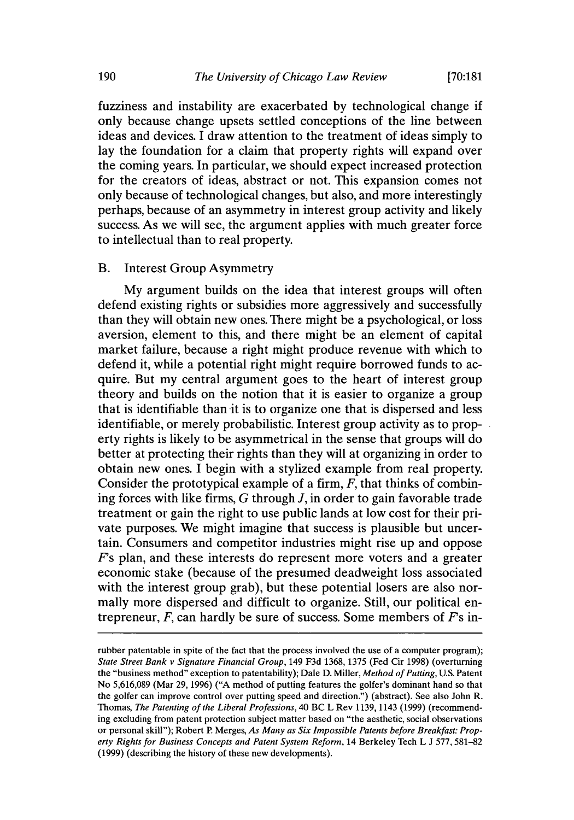fuzziness and instability are exacerbated by technological change if only because change upsets settled conceptions of the line between ideas and devices. I draw attention to the treatment of ideas simply to lay the foundation for a claim that property rights will expand over the coming years. In particular, we should expect increased protection for the creators of ideas, abstract or not. This expansion comes not only because of technological changes, but also, and more interestingly perhaps, because of an asymmetry in interest group activity and likely success. As we will see, the argument applies with much greater force to intellectual than to real property.

### B. Interest Group Asymmetry

My argument builds on the idea that interest groups will often defend existing rights or subsidies more aggressively and successfully than they will obtain new ones. There might be a psychological, or loss aversion, element to this, and there might be an element of capital market failure, because a right might produce revenue with which to defend it, while a potential right might require borrowed funds to acquire. But my central argument goes to the heart of interest group theory and builds on the notion that it is easier to organize a group that is identifiable than it is to organize one that is dispersed and less identifiable, or merely probabilistic. Interest group activity as to property rights is likely to be asymmetrical in the sense that groups will do better at protecting their rights than they will at organizing in order to obtain new ones. I begin with a stylized example from real property. Consider the prototypical example of a firm, *F,* that thinks of combining forces with like firms, G through *J,* in order to gain favorable trade treatment or gain the right to use public lands at low cost for their private purposes. We might imagine that success is plausible but uncertain. Consumers and competitor industries might rise up and oppose  $F<sub>S</sub>$  plan, and these interests do represent more voters and a greater economic stake (because of the presumed deadweight loss associated with the interest group grab), but these potential losers are also normally more dispersed and difficult to organize. Still, our political entrepreneur,  $F$ , can hardly be sure of success. Some members of  $F$ s in-

rubber patentable in spite of the fact that the process involved the use of a computer program); *State Street Bank v Signature Financial Group,* 149 F3d 1368, 1375 (Fed Cir 1998) (overturning the "business method" exception to patentability); Dale D. Miller, *Method of Putting,* U.S. Patent No 5,616,089 (Mar 29, 1996) ("A method of putting features the golfer's dominant hand so that the golfer can improve control over putting speed and direction.") (abstract). See also John R. Thomas, *The Patenting of the Liberal Professions,* 40 BC L Rev 1139, 1143 (1999) (recommending excluding from patent protection subject matter based on "the aesthetic, social observations or personal skill"); Robert P. Merges, *As Many as Six Impossible Patents before Breakfast: Property Rights for Business Concepts and Patent System Reform,* 14 Berkeley Tech L J 577, 581-82 (1999) (describing the history of these new developments).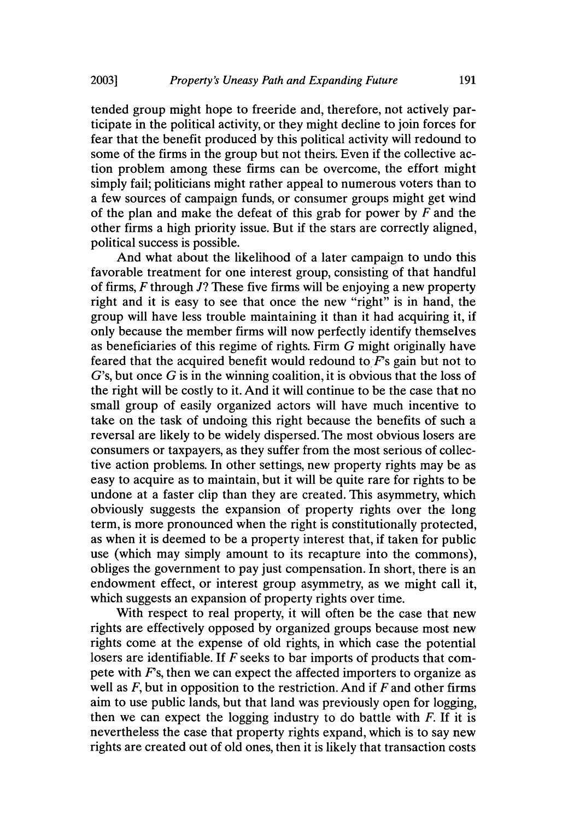**2003]**

tended group might hope to freeride and, therefore, not actively participate in the political activity, or they might decline to join forces for fear that the benefit produced by this political activity will redound to some of the firms in the group but not theirs. Even if the collective action problem among these firms can be overcome, the effort might simply fail; politicians might rather appeal to numerous voters than to a few sources of campaign funds, or consumer groups might get wind of the plan and make the defeat of this grab for power by *F* and the other firms a high priority issue. But if the stars are correctly aligned, political success is possible.

And what about the likelihood of a later campaign to undo this favorable treatment for one interest group, consisting of that handful of firms, *F* through *J?* These five firms will be enjoying a new property right and it is easy to see that once the new "right" is in hand, the group will have less trouble maintaining it than it had acquiring it, if only because the member firms will now perfectly identify themselves as beneficiaries of this regime of rights. Firm G might originally have feared that the acquired benefit would redound to *Fs* gain but not to  $G$ 's, but once  $G$  is in the winning coalition, it is obvious that the loss of the right will be costly to it. And it will continue to be the case that no small group of easily organized actors will have much incentive to take on the task of undoing this right because the benefits of such a reversal are likely to be widely dispersed. The most obvious losers are consumers or taxpayers, as they suffer from the most serious of collective action problems. In other settings, new property rights may be as easy to acquire as to maintain, but it will be quite rare for rights to be undone at a faster clip than they are created. This asymmetry, which obviously suggests the expansion of property rights over the long term, is more pronounced when the right is constitutionally protected, as when it is deemed to be a property interest that, if taken for public use (which may simply amount to its recapture into the commons), obliges the government to pay just compensation. In short, there is an endowment effect, or interest group asymmetry, as we might call it, which suggests an expansion of property rights over time.

With respect to real property, it will often be the case that new rights are effectively opposed by organized groups because most new rights come at the expense of old rights, in which case the potential losers are identifiable. If *F* seeks to bar imports of products that compete with *Fs,* then we can expect the affected importers to organize as well as *F,* but in opposition to the restriction. And if *F* and other firms aim to use public lands, but that land was previously open for logging, then we can expect the logging industry to do battle with *F.* If it is nevertheless the case that property rights expand, which is to say new rights are created out of old ones, then it is likely that transaction costs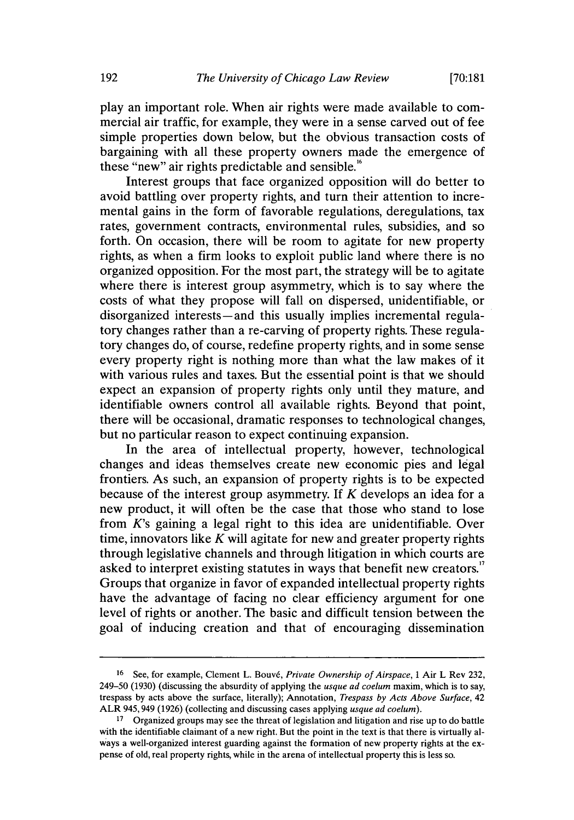play an important role. When air rights were made available to commercial air traffic, for example, they were in a sense carved out of fee simple properties down below, but the obvious transaction costs of bargaining with all these property owners made the emergence of these "new" air rights predictable and sensible.<sup>16</sup>

Interest groups that face organized opposition will do better to avoid battling over property rights, and turn their attention to incremental gains in the form of favorable regulations, deregulations, tax rates, government contracts, environmental rules, subsidies, and so forth. On occasion, there will be room to agitate for new property rights, as when a firm looks to exploit public land where there is no organized opposition. For the most part, the strategy will be to agitate where there is interest group asymmetry, which is to say where the costs of what they propose will fall on dispersed, unidentifiable, or disorganized interests-and this usually implies incremental regulatory changes rather than a re-carving of property rights. These regulatory changes do, of course, redefine property rights, and in some sense every property right is nothing more than what the law makes of it with various rules and taxes. But the essential point is that we should expect an expansion of property rights only until they mature, and identifiable owners control all available rights. Beyond that point, there will be occasional, dramatic responses to technological changes, but no particular reason to expect continuing expansion.

In the area of intellectual property, however, technological changes and ideas themselves create new economic pies and legal frontiers. As such, an expansion of property rights is to be expected because of the interest group asymmetry. If *K* develops an idea for a new product, it will often be the case that those who stand to lose from K's gaining a legal right to this idea are unidentifiable. Over time, innovators like *K* will agitate for new and greater property rights through legislative channels and through litigation in which courts are asked to interpret existing statutes in ways that benefit new creators." Groups that organize in favor of expanded intellectual property rights have the advantage of facing no clear efficiency argument for one level of rights or another. The basic and difficult tension between the goal of inducing creation and that of encouraging dissemination

<sup>&</sup>lt;sup>16</sup> See, for example, Clement L. Bouvé, *Private Ownership of Airspace*, 1 Air L Rev 232, 249-50 (1930) (discussing the absurdity of applying the *usque ad coelum* maxim, which is to say, trespass by acts above the surface, literally); Annotation, *Trespass by Acts Above Surface,* 42 ALR 945,949 (1926) (collecting and discussing cases applying *usque ad coelum).*

**<sup>17</sup>**Organized groups may see the threat of legislation and litigation and rise up to do battle with the identifiable claimant of a new right. But the point in the text is that there is virtually always a well-organized interest guarding against the formation of new property rights at the expense of old, real property rights, while in the arena of intellectual property this is less so.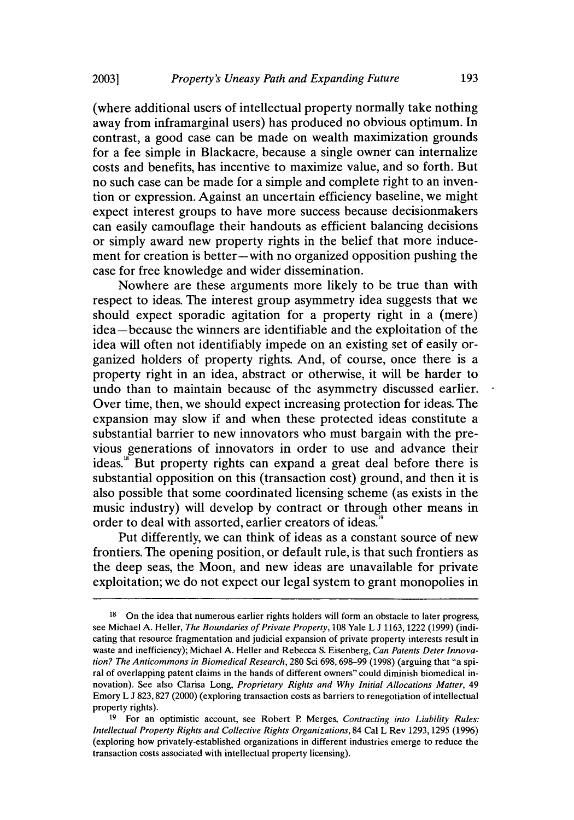(where additional users of intellectual property normally take nothing away from inframarginal users) has produced no obvious optimum. In contrast, a good case can be made on wealth maximization grounds for a fee simple in Blackacre, because a single owner can internalize costs and benefits, has incentive to maximize value, and so forth. But no such case can be made for a simple and complete right to an invention or expression. Against an uncertain efficiency baseline, we might expect interest groups to have more success because decisionmakers can easily camouflage their handouts as efficient balancing decisions or simply award new property rights in the belief that more inducement for creation is better-with no organized opposition pushing the case for free knowledge and wider dissemination.

Nowhere are these arguments more likely to be true than with respect to ideas. The interest group asymmetry idea suggests that we should expect sporadic agitation for a property right in a (mere) idea-because the winners are identifiable and the exploitation of the idea will often not identifiably impede on an existing set of easily organized holders of property rights. And, of course, once there is a property right in an idea, abstract or otherwise, it will be harder to undo than to maintain because of the asymmetry discussed earlier. Over time, then, we should expect increasing protection for ideas. The expansion may slow if and when these protected ideas constitute a substantial barrier to new innovators who must bargain with the previous generations of innovators in order to use and advance their ideas.<sup>18</sup> But property rights can expand a great deal before there is substantial opposition on this (transaction cost) ground, and then it is also possible that some coordinated licensing scheme (as exists in the music industry) will develop by contract or through other means in order to deal with assorted, earlier creators of ideas."

Put differently, we can think of ideas as a constant source of new frontiers. The opening position, or default rule, is that such frontiers as the deep seas, the Moon, and new ideas are unavailable for private exploitation; we do not expect our legal system to grant monopolies in

 $18$  On the idea that numerous earlier rights holders will form an obstacle to later progress, see Michael A. Heller, *The Boundaries of Private Property,* 108 Yale L J 1163, 1222 (1999) (indicating that resource fragmentation and judicial expansion of private property interests result in waste and inefficiency); Michael A. Heller and Rebecca S. Eisenberg, *Can Patents Deter Innovation? The Anticommons in Biomedical Research,* 280 Sci 698,698-99 (1998) (arguing that "a spiral of overlapping patent claims in the hands of different owners" could diminish biomedical innovation). See also Clarisa Long, *Proprietary Rights and Why Initial Allocations Matter,* 49 Emory L J 823,827 (2000) (exploring transaction costs as barriers to renegotiation of intellectual property rights).

<sup>&</sup>lt;sup>19</sup> For an optimistic account, see Robert P. Merges, *Contracting into Liability Rules*: *Intellectual Property Rights and Collective Rights Organizations,* 84 Cal L Rev 1293, 1295 (1996) (exploring how privately-established organizations in different industries emerge to reduce the transaction costs associated with intellectual property licensing).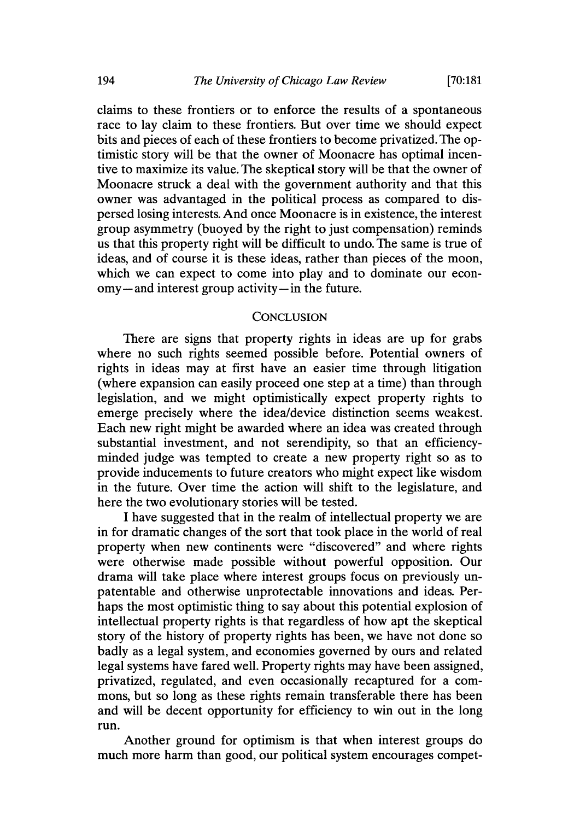claims to these frontiers or to enforce the results of a spontaneous race to lay claim to these frontiers. But over time we should expect bits and pieces of each of these frontiers to become privatized. The optimistic story will be that the owner of Moonacre has optimal incentive to maximize its value. The skeptical story will be that the owner of Moonacre struck a deal with the government authority and that this owner was advantaged in the political process as compared to dispersed losing interests. And once Moonacre is in existence, the interest group asymmetry (buoyed by the right to just compensation) reminds us that this property right will be difficult to undo. The same is true of ideas, and of course it is these ideas, rather than pieces of the moon, which we can expect to come into play and to dominate our economy **-** and interest group activity **-** in the future.

### **CONCLUSION**

There are signs that property rights in ideas are up for grabs where no such rights seemed possible before. Potential owners of rights in ideas may at first have an easier time through litigation (where expansion can easily proceed one step at a time) than through legislation, and we might optimistically expect property rights to emerge precisely where the idea/device distinction seems weakest. Each new right might be awarded where an idea was created through substantial investment, and not serendipity, so that an efficiencyminded judge was tempted to create a new property right so as to provide inducements to future creators who might expect like wisdom in the future. Over time the action will shift to the legislature, and here the two evolutionary stories will be tested.

I have suggested that in the realm of intellectual property we are in for dramatic changes of the sort that took place in the world of real property when new continents were "discovered" and where rights were otherwise made possible without powerful opposition. Our drama will take place where interest groups focus on previously unpatentable and otherwise unprotectable innovations and ideas. Perhaps the most optimistic thing to say about this potential explosion of intellectual property rights is that regardless of how apt the skeptical story of the history of property rights has been, we have not done so badly as a legal system, and economies governed by ours and related legal systems have fared well. Property rights may have been assigned, privatized, regulated, and even occasionally recaptured for a commons, but so long as these rights remain transferable there has been and will be decent opportunity for efficiency to win out in the long run.

Another ground for optimism is that when interest groups do much more harm than good, our political system encourages compet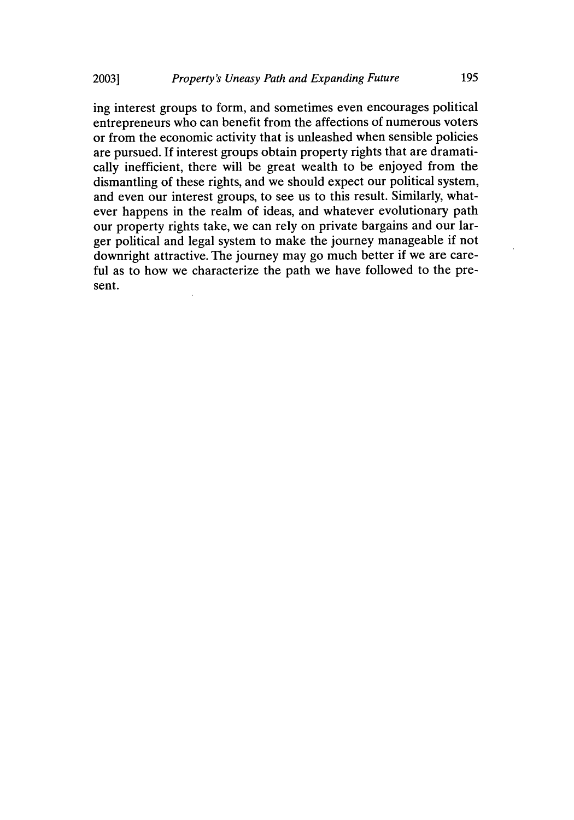ing interest groups to form, and sometimes even encourages political entrepreneurs who can benefit from the affections of numerous voters or from the economic activity that is unleashed when sensible policies are pursued. If interest groups obtain property rights that are dramatically inefficient, there will be great wealth to be enjoyed from the dismantling of these rights, and we should expect our political system, and even our interest groups, to see us to this result. Similarly, whatever happens in the realm of ideas, and whatever evolutionary path our property rights take, we can rely on private bargains and our larger political and legal system to make the journey manageable if not downright attractive. The journey may go much better if we are careful as to how we characterize the path we have followed to the present.